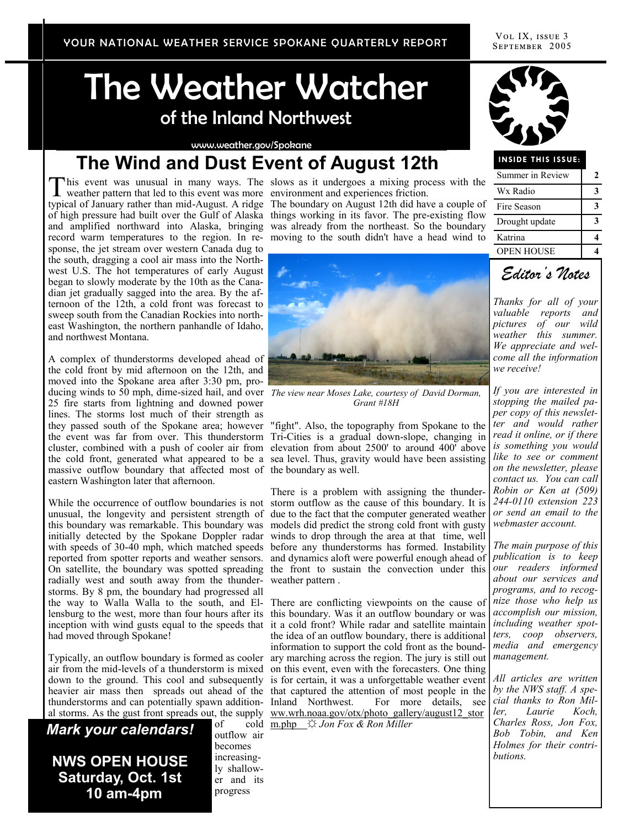# The Weather Watcher of the Inland Northwest

www.weather.gov/Spokane

## **The Wind and Dust Event of August 12th**

This event was unusual in many ways. The weather pattern that led to this event was more weather pattern that led to this event was more typical of January rather than mid-August. A ridge The boundary on August 12th did have a couple of record warm temperatures to the region. In re-moving to the south didn't have a head wind to sponse, the jet stream over western Canada dug to the south, dragging a cool air mass into the Northwest U.S. The hot temperatures of early August began to slowly moderate by the 10th as the Canadian jet gradually sagged into the area. By the afternoon of the 12th, a cold front was forecast to sweep south from the Canadian Rockies into northeast Washington, the northern panhandle of Idaho, and northwest Montana.

A complex of thunderstorms developed ahead of the cold front by mid afternoon on the 12th, and moved into the Spokane area after 3:30 pm, producing winds to 50 mph, dime-sized hail, and over *The view near Moses Lake, courtesy of David Dorman,*  25 fire starts from lightning and downed power lines. The storms lost much of their strength as massive outflow boundary that affected most of the boundary as well. eastern Washington later that afternoon.

radially west and south away from the thunder-weather pattern . storms. By 8 pm, the boundary had progressed all the way to Walla Walla to the south, and El-There are conflicting viewpoints on the cause of lensburg to the west, more than four hours after its this boundary. Was it an outflow boundary or was inception with wind gusts equal to the speeds that it a cold front? While radar and satellite maintain had moved through Spokane!

Typically, an outflow boundary is formed as cooler ary marching across the region. The jury is still out thunderstorms and can potentially spawn addition-

*Mark your calendars!* **NWS OPEN HOUSE Saturday, Oct. 1st 10 am-4pm**

outflow air becomes increasingly shallower and its progress

slows as it undergoes a mixing process with the environment and experiences friction.

of high pressure had built over the Gulf of Alaska things working in its favor. The pre-existing flow and amplified northward into Alaska, bringing was already from the northeast. So the boundary



*Grant #18H*

they passed south of the Spokane area; however "fight". Also, the topography from Spokane to the the event was far from over. This thunderstorm Tri-Cities is a gradual down-slope, changing in cluster, combined with a push of cooler air from elevation from about 2500' to around 400' above the cold front, generated what appeared to be a sea level. Thus, gravity would have been assisting

While the occurrence of outflow boundaries is not storm outflow as the cause of this boundary. It is unusual, the longevity and persistent strength of due to the fact that the computer generated weather this boundary was remarkable. This boundary was models did predict the strong cold front with gusty initially detected by the Spokane Doppler radar winds to drop through the area at that time, well with speeds of 30-40 mph, which matched speeds before any thunderstorms has formed. Instability reported from spotter reports and weather sensors. and dynamics aloft were powerful enough ahead of On satellite, the boundary was spotted spreading the front to sustain the convection under this There is a problem with assigning the thunder-

air from the mid-levels of a thunderstorm is mixed on this event, even with the forecasters. One thing down to the ground. This cool and subsequently is for certain, it was a unforgettable weather event heavier air mass then spreads out ahead of the that captured the attention of most people in the al storms. As the gust front spreads out, the supply www.wrh.noaa.gov/otx/photo\_gallery/august12\_stor the idea of an outflow boundary, there is additional information to support the cold front as the bound-Inland Northwest. For more details, see *cial thanks to Ron Mil-*

of cold m.php ☼ *Jon Fox & Ron Miller* 



### **INSIDE THIS ISSUE:**

| Summer in Review  | 2 |
|-------------------|---|
| Wx Radio          |   |
| Fire Season       |   |
| Drought update    |   |
| Katrina           |   |
| <b>OPEN HOUSE</b> |   |



*Thanks for all of your valuable reports and pictures of our wild weather this summer. We appreciate and welcome all the information we receive!*

*If you are interested in stopping the mailed paper copy of this newsletter and would rather read it online, or if there is something you would like to see or comment on the newsletter, please contact us. You can call Robin or Ken at (509) 244-0110 extension 223 or send an email to the webmaster account.* 

*The main purpose of this publication is to keep our readers informed about our services and programs, and to recognize those who help us accomplish our mission, including weather spotters, coop observers, media and emergency management.* 

*All articles are written by the NWS staff. A speler, Laurie Koch, Charles Ross, Jon Fox, Bob Tobin, and Ken Holmes for their contributions.*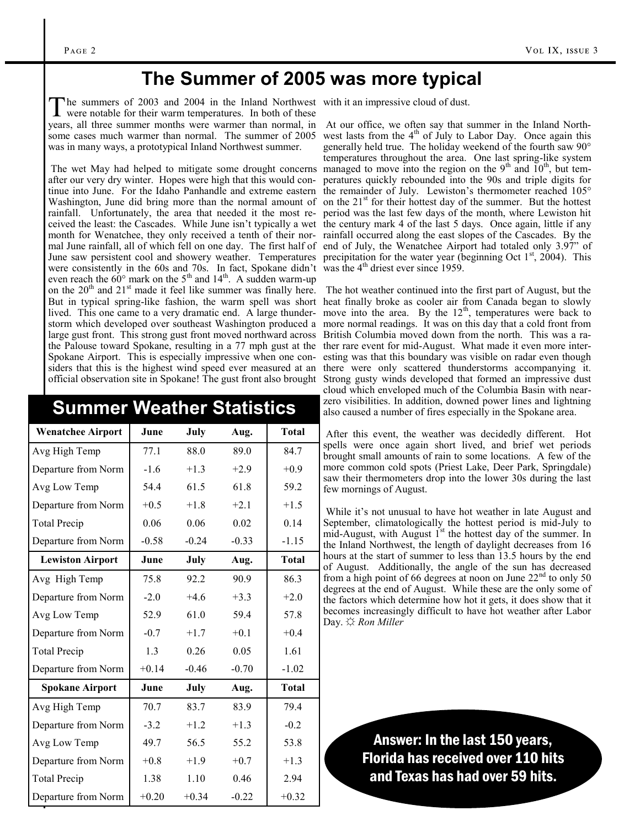### **The Summer of 2005 was more typical**

The summers of 2003 and 2004 in the Inland Northwest<br>were notable for their warm temperatures. In both of these he summers of 2003 and 2004 in the Inland Northwest with it an impressive cloud of dust. was in many ways, a prototypical Inland Northwest summer.

were consistently in the 60s and 70s. In fact, Spokane didn't even reach the  $60^{\circ}$  mark on the  $5^{\text{th}}$  and  $14^{\text{th}}$ . A sudden warm-up on the  $20<sup>th</sup>$  and  $21<sup>st</sup>$  made it feel like summer was finally here. But in typical spring-like fashion, the warm spell was short heat finally broke as cooler air from Canada began to slowly lived. This one came to a very dramatic end. A large thunderstorm which developed over southeast Washington produced a more normal readings. It was on this day that a cold front from large gust front. This strong gust front moved northward across British Columbia moved down from the north. This was a rathe Palouse toward Spokane, resulting in a 77 mph gust at the ther rare event for mid-August. What made it even more inter-Spokane Airport. This is especially impressive when one considers that this is the highest wind speed ever measured at an official observation site in Spokane! The gust front also brought Strong gusty winds developed that formed an impressive dust

| <b>Summer Weather Statistics</b> |         |         |         |              |  |
|----------------------------------|---------|---------|---------|--------------|--|
| <b>Wenatchee Airport</b>         | June    | July    | Aug.    | <b>Total</b> |  |
| Avg High Temp                    | 77.1    | 88.0    | 89.0    | 84.7         |  |
| Departure from Norm              | $-1.6$  | $+1.3$  | $+2.9$  | $+0.9$       |  |
| Avg Low Temp                     | 54.4    | 61.5    | 61.8    | 59.2         |  |
| Departure from Norm              | $+0.5$  | $+1.8$  | $+2.1$  | $+1.5$       |  |
| <b>Total Precip</b>              | 0.06    | 0.06    | 0.02    | 0.14         |  |
| Departure from Norm              | $-0.58$ | $-0.24$ | $-0.33$ | $-1.15$      |  |
| <b>Lewiston Airport</b>          | June    | July    | Aug.    | <b>Total</b> |  |
| Avg High Temp                    | 75.8    | 92.2    | 90.9    | 86.3         |  |
| Departure from Norm              | $-2.0$  | $+4.6$  | $+3.3$  | $+2.0$       |  |
| Avg Low Temp                     | 52.9    | 61.0    | 59.4    | 57.8         |  |
| Departure from Norm              | $-0.7$  | $+1.7$  | $+0.1$  | $+0.4$       |  |
| <b>Total Precip</b>              | 1.3     | 0.26    | 0.05    | 1.61         |  |
| Departure from Norm              | $+0.14$ | $-0.46$ | $-0.70$ | $-1.02$      |  |
| <b>Spokane Airport</b>           | June    | July    | Aug.    | <b>Total</b> |  |
| Avg High Temp                    | 70.7    | 83.7    | 83.9    | 79.4         |  |
| Departure from Norm              | $-3.2$  | $+1.2$  | $+1.3$  | $-0.2$       |  |
| Avg Low Temp                     | 49.7    | 56.5    | 55.2    | 53.8         |  |
| Departure from Norm              | $+0.8$  | $+1.9$  | $+0.7$  | $+1.3$       |  |
| <b>Total Precip</b>              | 1.38    | 1.10    | 0.46    | 2.94         |  |
| Departure from Norm              | $+0.20$ | $+0.34$ | $-0.22$ | $+0.32$      |  |

years, all three summer months were warmer than normal, in At our office, we often say that summer in the Inland Northsome cases much warmer than normal. The summer of 2005 west lasts from the  $4<sup>th</sup>$  of July to Labor Day. Once again this The wet May had helped to mitigate some drought concerns managed to move into the region on the 9<sup>th</sup> and  $10^{th}$ , but temafter our very dry winter. Hopes were high that this would con-peratures quickly rebounded into the 90s and triple digits for tinue into June. For the Idaho Panhandle and extreme eastern the remainder of July. Lewiston's thermometer reached 105° Washington, June did bring more than the normal amount of on the 21<sup>st</sup> for their hottest day of the summer. But the hottest rainfall. Unfortunately, the area that needed it the most re-period was the last few days of the month, where Lewiston hit ceived the least: the Cascades. While June isn't typically a wet the century mark 4 of the last 5 days. Once again, little if any month for Wenatchee, they only received a tenth of their nor-rainfall occurred along the east slopes of the Cascades. By the mal June rainfall, all of which fell on one day. The first half of end of July, the Wenatchee Airport had totaled only 3.97" of June saw persistent cool and showery weather. Temperatures precipitation for the water year (beginning Oct  $1<sup>st</sup>$ , 2004). This generally held true. The holiday weekend of the fourth saw 90° temperatures throughout the area. One last spring-like system was the  $4<sup>th</sup>$  driest ever since 1959.

> The hot weather continued into the first part of August, but the move into the area. By the  $12<sup>th</sup>$ , temperatures were back to esting was that this boundary was visible on radar even though there were only scattered thunderstorms accompanying it. cloud which enveloped much of the Columbia Basin with nearzero visibilities. In addition, downed power lines and lightning also caused a number of fires especially in the Spokane area.

> After this event, the weather was decidedly different. Hot spells were once again short lived, and brief wet periods brought small amounts of rain to some locations. A few of the more common cold spots (Priest Lake, Deer Park, Springdale) saw their thermometers drop into the lower 30s during the last few mornings of August.

> While it's not unusual to have hot weather in late August and September, climatologically the hottest period is mid-July to mid-August, with August  $1^{st}$  the hottest day of the summer. In the Inland Northwest, the length of daylight decreases from 16 hours at the start of summer to less than 13.5 hours by the end of August. Additionally, the angle of the sun has decreased from a high point of 66 degrees at noon on June  $22<sup>nd</sup>$  to only 50 degrees at the end of August. While these are the only some of the factors which determine how hot it gets, it does show that it becomes increasingly difficult to have hot weather after Labor Day. ☼ *Ron Miller*

> > Answer: In the last 150 years, Florida has received over 110 hits and Texas has had over 59 hits.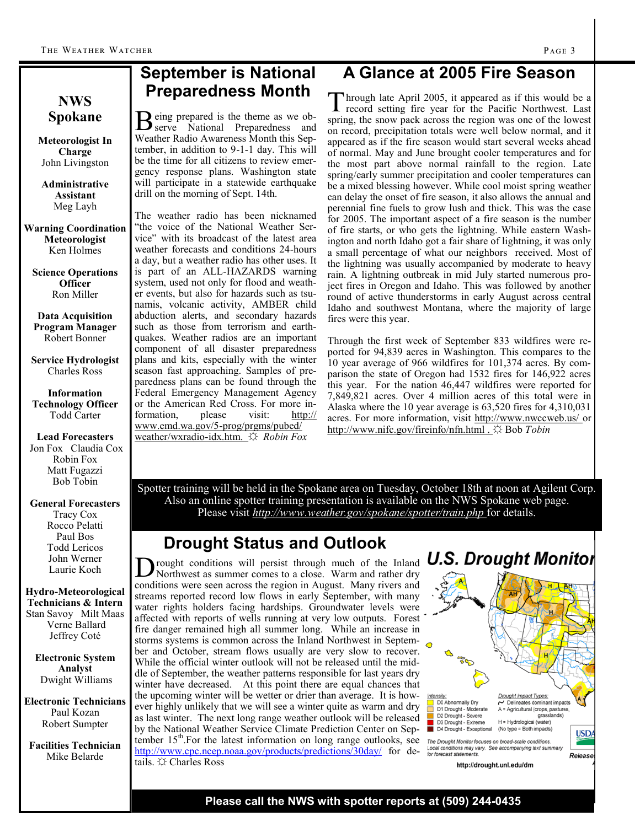### **September is National Preparedness Month**

Being prepared is the theme as we ob-<br>
serve National Preparedness and serve National Preparedness and Weather Radio Awareness Month this September, in addition to 9-1-1 day. This will be the time for all citizens to review emergency response plans. Washington state will participate in a statewide earthquake

The weather radio has been nicknamed "the voice of the National Weather Service" with its broadcast of the latest area weather forecasts and conditions 24-hours a day, but a weather radio has other uses. It is part of an ALL-HAZARDS warning system, used not only for flood and weather events, but also for hazards such as tsunamis, volcanic activity, AMBER child abduction alerts, and secondary hazards such as those from terrorism and earthquakes. Weather radios are an important component of all disaster preparedness plans and kits, especially with the winter season fast approaching. Samples of preparedness plans can be found through the Federal Emergency Management Agency or the American Red Cross. For more information, please visit: http:// www.emd.wa.gov/5-prog/prgms/pubed/ weather/wxradio-idx.htm. ☼ *Robin Fox*

drill on the morning of Sept. 14th.

### **NWS Spokane**

**Meteorologist In Charge** John Livingston

**Administrative Assistant** Meg Layh

**Warning Coordination Meteorologist** Ken Holmes

**Science Operations Officer** Ron Miller

**Data Acquisition Program Manager** Robert Bonner

**Service Hydrologist** Charles Ross

**Information Technology Officer** Todd Carter

**Lead Forecasters** Jon Fox Claudia Cox Robin Fox Matt Fugazzi Bob Tobin

#### **General Forecasters**

Tracy Cox Rocco Pelatti Paul Bos Todd Lericos John Werner Laurie Koch

**Hydro-Meteorological Technicians & Intern** Stan Savoy Milt Maas Verne Ballard Jeffrey Coté

**Electronic System Analyst** Dwight Williams

**Electronic Technicians** Paul Kozan Robert Sumpter

**Facilities Technician** Mike Belarde

# **A Glance at 2005 Fire Season**

T hrough late April 2005, it appeared as if this would be a record setting fire year for the Pacific Northwest. Last spring, the snow pack across the region was one of the lowest on record, precipitation totals were well below normal, and it appeared as if the fire season would start several weeks ahead of normal. May and June brought cooler temperatures and for the most part above normal rainfall to the region. Late spring/early summer precipitation and cooler temperatures can be a mixed blessing however. While cool moist spring weather can delay the onset of fire season, it also allows the annual and perennial fine fuels to grow lush and thick. This was the case for 2005. The important aspect of a fire season is the number of fire starts, or who gets the lightning. While eastern Washington and north Idaho got a fair share of lightning, it was only a small percentage of what our neighbors received. Most of the lightning was usually accompanied by moderate to heavy rain. A lightning outbreak in mid July started numerous project fires in Oregon and Idaho. This was followed by another round of active thunderstorms in early August across central Idaho and southwest Montana, where the majority of large fires were this year.

Through the first week of September 833 wildfires were reported for 94,839 acres in Washington. This compares to the 10 year average of 966 wildfires for 101,374 acres. By comparison the state of Oregon had 1532 fires for 146,922 acres this year. For the nation 46,447 wildfires were reported for 7,849,821 acres. Over 4 million acres of this total were in Alaska where the 10 year average is 63,520 fires for 4,310,031 acres. For more information, visit http://www.nwccweb.us/ or http://www.nifc.gov/fireinfo/nfn.html . ☼ Bob *Tobin*

Spotter training will be held in the Spokane area on Tuesday, October 18th at noon at Agilent Corp. Also an online spotter training presentation is available on the NWS Spokane web page. Please visit *http://www.weather.gov/spokane/spotter/train.php* for details.

### **Drought Status and Outlook**

D rought conditions will persist through much of the Inland<br>conditions were seen across the region in August. Many rivers and rought conditions will persist through much of the Inland Northwest as summer comes to a close. Warm and rather dry streams reported record low flows in early September, with many water rights holders facing hardships. Groundwater levels were affected with reports of wells running at very low outputs. Forest fire danger remained high all summer long. While an increase in storms systems is common across the Inland Northwest in September and October, stream flows usually are very slow to recover. While the official winter outlook will not be released until the middle of September, the weather patterns responsible for last years dry winter have decreased. At this point there are equal chances that the upcoming winter will be wetter or drier than average. It is however highly unlikely that we will see a winter quite as warm and dry as last winter. The next long range weather outlook will be released by the National Weather Service Climate Prediction Center on September 15<sup>th</sup>. For the latest information on long range outlooks, see The Drought Monitor focuses on broad-scale conditions. <http://www.cpc.ncep.noaa.gov/products/predictions/30day/> for details. ☼ Charles Ross



**Please call the NWS with spotter reports at (509) 244-0435**